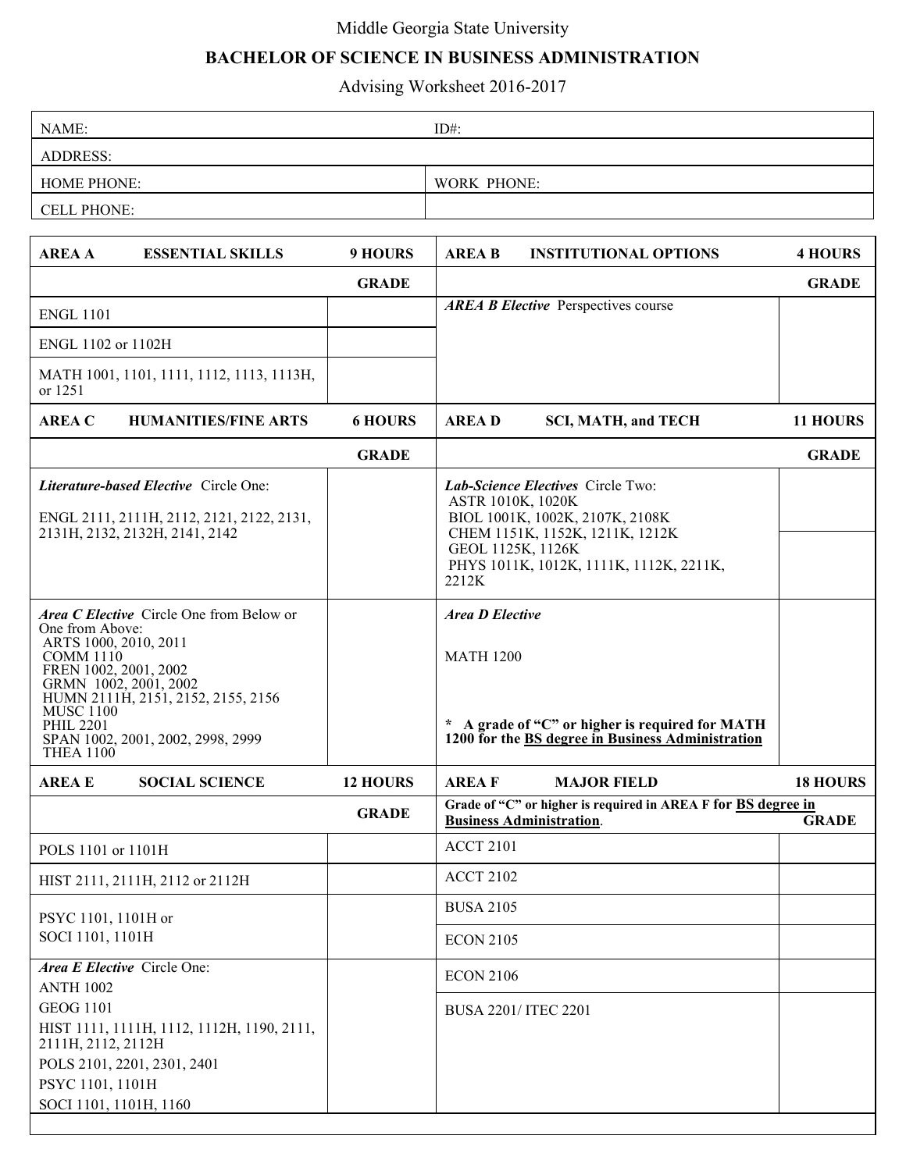## Middle Georgia State University

## **BACHELOR OF SCIENCE IN BUSINESS ADMINISTRATION**

Advising Worksheet 2016-2017

| NAME:              | $ID#$ :            |  |  |
|--------------------|--------------------|--|--|
| <b>ADDRESS:</b>    |                    |  |  |
| <b>HOME PHONE:</b> | <b>WORK PHONE:</b> |  |  |
| CELL PHONE:        |                    |  |  |

| <b>AREA A</b>                                                                                                                                                              | <b>ESSENTIAL SKILLS</b>                                                                                              | <b>9 HOURS</b>  | <b>AREA B</b>                              | <b>INSTITUTIONAL OPTIONS</b>                                                                                                                                            | <b>4 HOURS</b>  |  |
|----------------------------------------------------------------------------------------------------------------------------------------------------------------------------|----------------------------------------------------------------------------------------------------------------------|-----------------|--------------------------------------------|-------------------------------------------------------------------------------------------------------------------------------------------------------------------------|-----------------|--|
|                                                                                                                                                                            |                                                                                                                      | <b>GRADE</b>    |                                            |                                                                                                                                                                         | <b>GRADE</b>    |  |
| <b>ENGL 1101</b>                                                                                                                                                           |                                                                                                                      |                 |                                            | <b>AREA B Elective</b> Perspectives course                                                                                                                              |                 |  |
| ENGL 1102 or 1102H                                                                                                                                                         |                                                                                                                      |                 |                                            |                                                                                                                                                                         |                 |  |
| or 1251                                                                                                                                                                    | MATH 1001, 1101, 1111, 1112, 1113, 1113H,                                                                            |                 |                                            |                                                                                                                                                                         |                 |  |
| <b>AREA C</b>                                                                                                                                                              | <b>HUMANITIES/FINE ARTS</b>                                                                                          | <b>6 HOURS</b>  | <b>AREAD</b>                               | <b>SCI, MATH, and TECH</b>                                                                                                                                              | 11 HOURS        |  |
|                                                                                                                                                                            |                                                                                                                      | <b>GRADE</b>    |                                            |                                                                                                                                                                         | <b>GRADE</b>    |  |
|                                                                                                                                                                            | Literature-based Elective Circle One:<br>ENGL 2111, 2111H, 2112, 2121, 2122, 2131,<br>2131H, 2132, 2132H, 2141, 2142 |                 | ASTR 1010K, 1020K<br>2212K                 | Lab-Science Electives Circle Two:<br>BIOL 1001K, 1002K, 2107K, 2108K<br>CHEM 1151K, 1152K, 1211K, 1212K<br>GEOL 1125K, 1126K<br>PHYS 1011K, 1012K, 1111K, 1112K, 2211K, |                 |  |
| One from Above:<br>ARTS 1000, 2010, 2011<br><b>COMM 1110</b><br>FREN 1002, 2001, 2002<br>GRMN 1002, 2001, 2002<br><b>MUSC 1100</b><br><b>PHIL 2201</b><br><b>THEA 1100</b> | Area C Elective Circle One from Below or<br>HUMN 2111H, 2151, 2152, 2155, 2156<br>SPAN 1002, 2001, 2002, 2998, 2999  |                 | <b>Area D Elective</b><br><b>MATH 1200</b> | * A grade of "C" or higher is required for MATH<br>1200 for the BS degree in Business Administration                                                                    |                 |  |
| <b>AREA E</b>                                                                                                                                                              | <b>SOCIAL SCIENCE</b>                                                                                                | <b>12 HOURS</b> | <b>AREAF</b>                               | <b>MAJOR FIELD</b>                                                                                                                                                      | <b>18 HOURS</b> |  |
|                                                                                                                                                                            |                                                                                                                      | <b>GRADE</b>    |                                            | Grade of "C" or higher is required in AREA F for BS degree in<br><b>Business Administration.</b>                                                                        | <b>GRADE</b>    |  |
| POLS 1101 or 1101H                                                                                                                                                         |                                                                                                                      |                 | <b>ACCT 2101</b>                           |                                                                                                                                                                         |                 |  |
|                                                                                                                                                                            | HIST 2111, 2111H, 2112 or 2112H                                                                                      |                 | <b>ACCT 2102</b>                           |                                                                                                                                                                         |                 |  |
| PSYC 1101, 1101H or                                                                                                                                                        |                                                                                                                      |                 | <b>BUSA 2105</b>                           |                                                                                                                                                                         |                 |  |
| SOCI 1101, 1101H                                                                                                                                                           |                                                                                                                      |                 |                                            | <b>ECON 2105</b>                                                                                                                                                        |                 |  |
| <b>ANTH 1002</b>                                                                                                                                                           | Area E Elective Circle One:                                                                                          |                 | <b>ECON 2106</b>                           |                                                                                                                                                                         |                 |  |
| <b>GEOG 1101</b>                                                                                                                                                           |                                                                                                                      |                 |                                            | BUSA 2201/ ITEC 2201                                                                                                                                                    |                 |  |
| 2111H, 2112, 2112H                                                                                                                                                         | HIST 1111, 1111H, 1112, 1112H, 1190, 2111,                                                                           |                 |                                            |                                                                                                                                                                         |                 |  |
|                                                                                                                                                                            | POLS 2101, 2201, 2301, 2401                                                                                          |                 |                                            |                                                                                                                                                                         |                 |  |
| PSYC 1101, 1101H                                                                                                                                                           |                                                                                                                      |                 |                                            |                                                                                                                                                                         |                 |  |
| SOCI 1101, 1101H, 1160                                                                                                                                                     |                                                                                                                      |                 |                                            |                                                                                                                                                                         |                 |  |